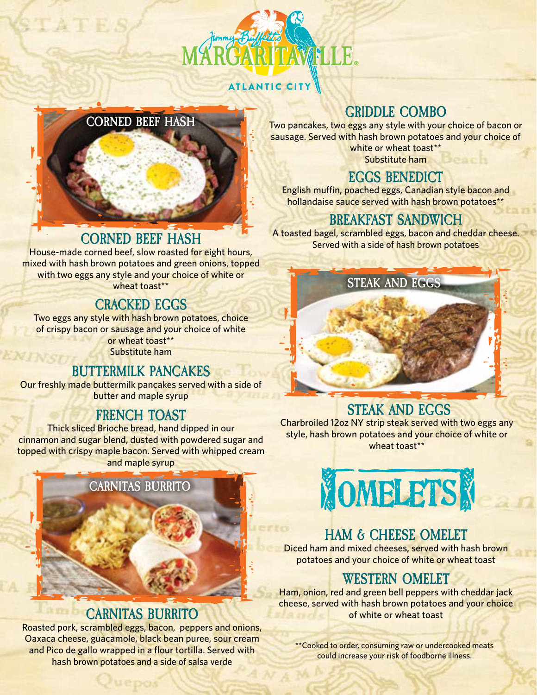

#### ATLANTIC CITY



# **CORNED BEEF HASH**

House-made corned beef, slow roasted for eight hours, mixed with hash brown potatoes and green onions, topped with two eggs any style and your choice of white or wheat toast\*\*

#### **CRACKED EGGS**

Two eggs any style with hash brown potatoes, choice of crispy bacon or sausage and your choice of white or wheat toast\*\* Substitute ham

#### **BUTTERMILK PANCAKES**

Our freshly made buttermilk pancakes served with a side of butter and maple syrup

#### **FRENCH TOAST**

Thick sliced Brioche bread, hand dipped in our cinnamon and sugar blend, dusted with powdered sugar and topped with crispy maple bacon. Served with whipped cream and maple syrup



#### **CARNITAS BURRITO**

Roasted pork, scrambled eggs, bacon, peppers and onions, Oaxaca cheese, guacamole, black bean puree, sour cream and Pico de gallo wrapped in a flour tortilla. Served with hash brown potatoes and a side of salsa verde

# **GRIDDLE COMBO**

Two pancakes, two eggs any style with your choice of bacon or sausage. Served with hash brown potatoes and your choice of white or wheat toast\*\* Substitute ham

#### **EGGS BENEDICT**

English muffin, poached eggs, Canadian style bacon and hollandaise sauce served with hash brown potatoes\*\*

### **BREAKFAST SANDWICH**

A toasted bagel, scrambled eggs, bacon and cheddar cheese. Served with a side of hash brown potatoes

**STEAK AND EGGS**

### **STEAK AND EGGS**

Charbroiled 12oz NY strip steak served with two eggs any style, hash brown potatoes and your choice of white or wheat toast\*\*



# **HAM & CHEESE OMELET**

Diced ham and mixed cheeses, served with hash brown potatoes and your choice of white or wheat toast

# **WESTERN OMELET**

Ham, onion, red and green bell peppers with cheddar jack cheese, served with hash brown potatoes and your choice of white or wheat toast

\*\*Cooked to order, consuming raw or undercooked meats could increase your risk of foodborne illness.